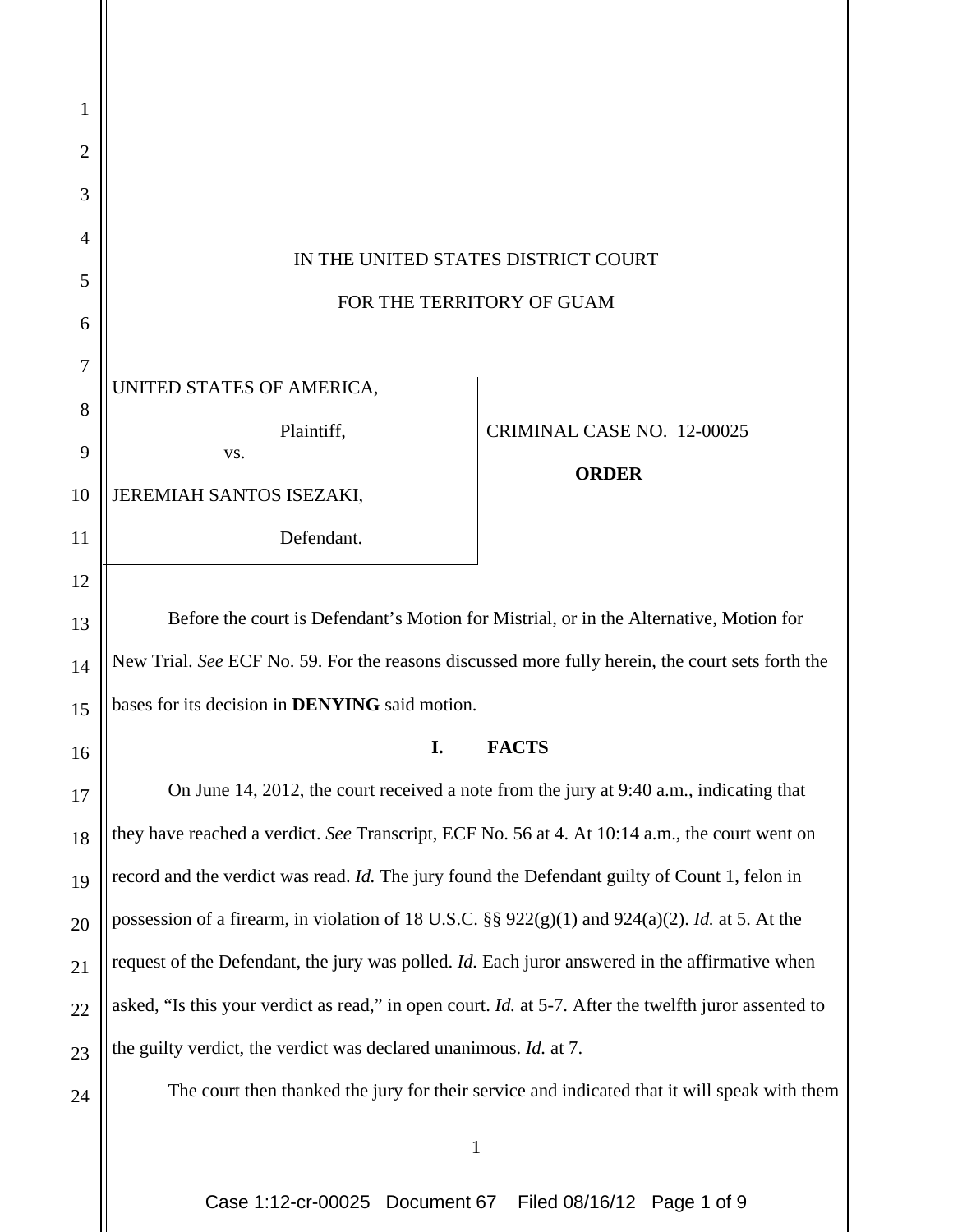| 1                        |                                                                                                              |                                            |
|--------------------------|--------------------------------------------------------------------------------------------------------------|--------------------------------------------|
| 2                        |                                                                                                              |                                            |
| 3                        |                                                                                                              |                                            |
| 4                        | IN THE UNITED STATES DISTRICT COURT<br>FOR THE TERRITORY OF GUAM                                             |                                            |
| 5                        |                                                                                                              |                                            |
| 6                        |                                                                                                              |                                            |
| $\overline{7}$<br>8<br>9 | UNITED STATES OF AMERICA,<br>Plaintiff,<br>VS.                                                               | CRIMINAL CASE NO. 12-00025<br><b>ORDER</b> |
| 10                       | JEREMIAH SANTOS ISEZAKI,                                                                                     |                                            |
| 11                       | Defendant.                                                                                                   |                                            |
| 12                       |                                                                                                              |                                            |
| 13                       | Before the court is Defendant's Motion for Mistrial, or in the Alternative, Motion for                       |                                            |
| 14                       | New Trial. See ECF No. 59. For the reasons discussed more fully herein, the court sets forth the             |                                            |
| 15                       | bases for its decision in DENYING said motion.                                                               |                                            |
| 16                       | Ъ.                                                                                                           | FACTS                                      |
| 17                       | On June 14, 2012, the court received a note from the jury at 9:40 a.m., indicating that                      |                                            |
| 18                       | they have reached a verdict. See Transcript, ECF No. 56 at 4. At 10:14 a.m., the court went on               |                                            |
| 19                       | record and the verdict was read. Id. The jury found the Defendant guilty of Count 1, felon in                |                                            |
| 20                       | possession of a firearm, in violation of 18 U.S.C. §§ $922(g)(1)$ and $924(a)(2)$ . <i>Id.</i> at 5. At the  |                                            |
| 21                       | request of the Defendant, the jury was polled. <i>Id</i> . Each juror answered in the affirmative when       |                                            |
| 22                       | asked, "Is this your verdict as read," in open court. <i>Id.</i> at 5-7. After the twelfth juror assented to |                                            |
| 23                       | the guilty verdict, the verdict was declared unanimous. Id. at 7.                                            |                                            |
| 24                       | The court then thanked the jury for their service and indicated that it will speak with them                 |                                            |
|                          |                                                                                                              |                                            |

 $\mathsf{l}$ 

Case 1:12-cr-00025 Document 67 Filed 08/16/12 Page 1 of 9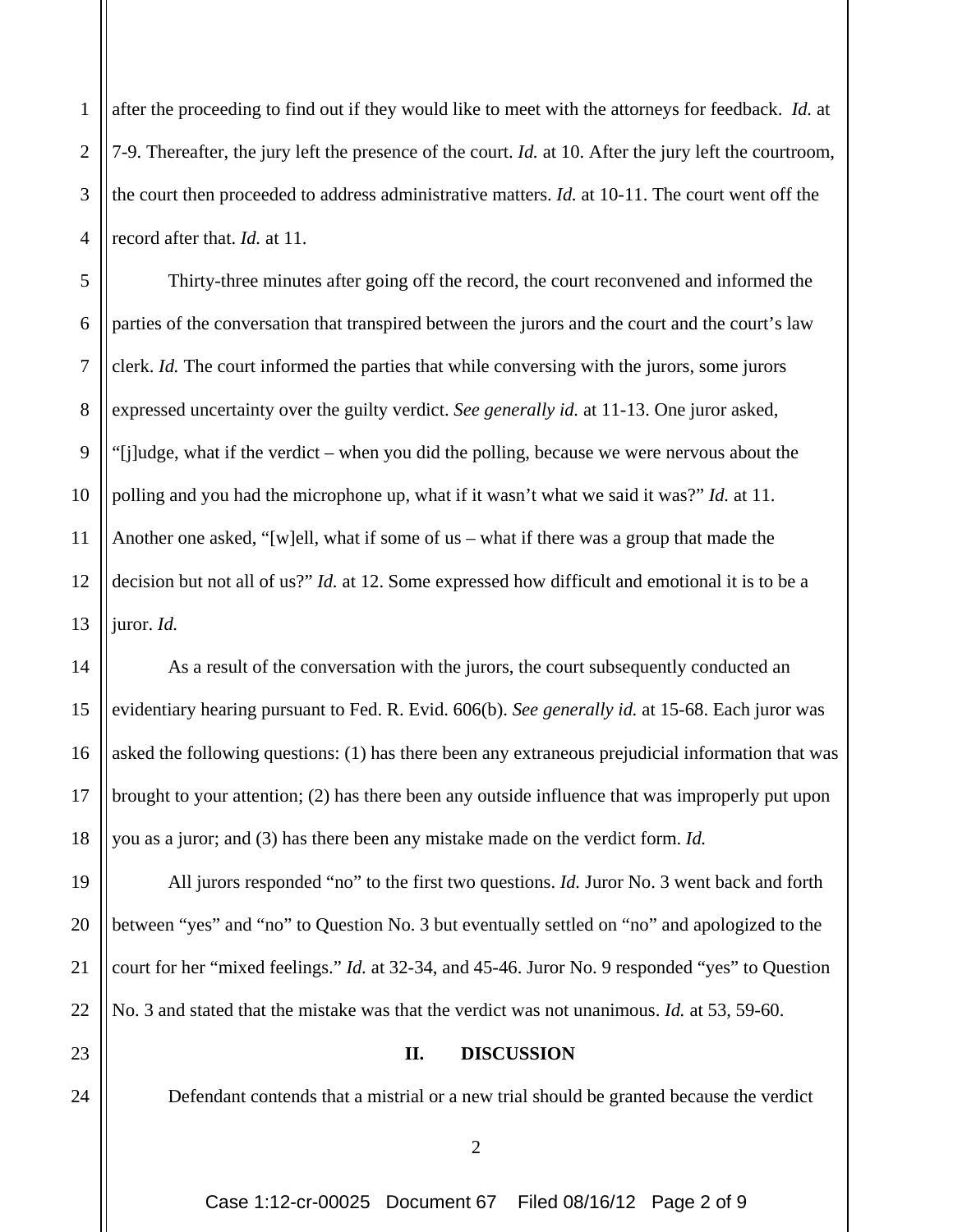1 2 3 4 after the proceeding to find out if they would like to meet with the attorneys for feedback. *Id.* at 7-9. Thereafter, the jury left the presence of the court. *Id.* at 10. After the jury left the courtroom, the court then proceeded to address administrative matters. *Id.* at 10-11. The court went off the record after that. *Id.* at 11.

5 6 7 8 9 10 11 12 13 Thirty-three minutes after going off the record, the court reconvened and informed the parties of the conversation that transpired between the jurors and the court and the court's law clerk. *Id.* The court informed the parties that while conversing with the jurors, some jurors expressed uncertainty over the guilty verdict. *See generally id.* at 11-13. One juror asked, "[j]udge, what if the verdict – when you did the polling, because we were nervous about the polling and you had the microphone up, what if it wasn't what we said it was?" *Id.* at 11. Another one asked, "[w]ell, what if some of us – what if there was a group that made the decision but not all of us?" *Id.* at 12. Some expressed how difficult and emotional it is to be a juror. *Id.* 

14 15 16 17 18 As a result of the conversation with the jurors, the court subsequently conducted an evidentiary hearing pursuant to Fed. R. Evid. 606(b). *See generally id.* at 15-68. Each juror was asked the following questions: (1) has there been any extraneous prejudicial information that was brought to your attention; (2) has there been any outside influence that was improperly put upon you as a juror; and (3) has there been any mistake made on the verdict form. *Id.* 

19 20 21 22 All jurors responded "no" to the first two questions. *Id.* Juror No. 3 went back and forth between "yes" and "no" to Question No. 3 but eventually settled on "no" and apologized to the court for her "mixed feelings." *Id.* at 32-34, and 45-46. Juror No. 9 responded "yes" to Question No. 3 and stated that the mistake was that the verdict was not unanimous. *Id.* at 53, 59-60.

23

24

## **II. DISCUSSION**

Defendant contends that a mistrial or a new trial should be granted because the verdict

Case 1:12-cr-00025 Document 67 Filed 08/16/12 Page 2 of 9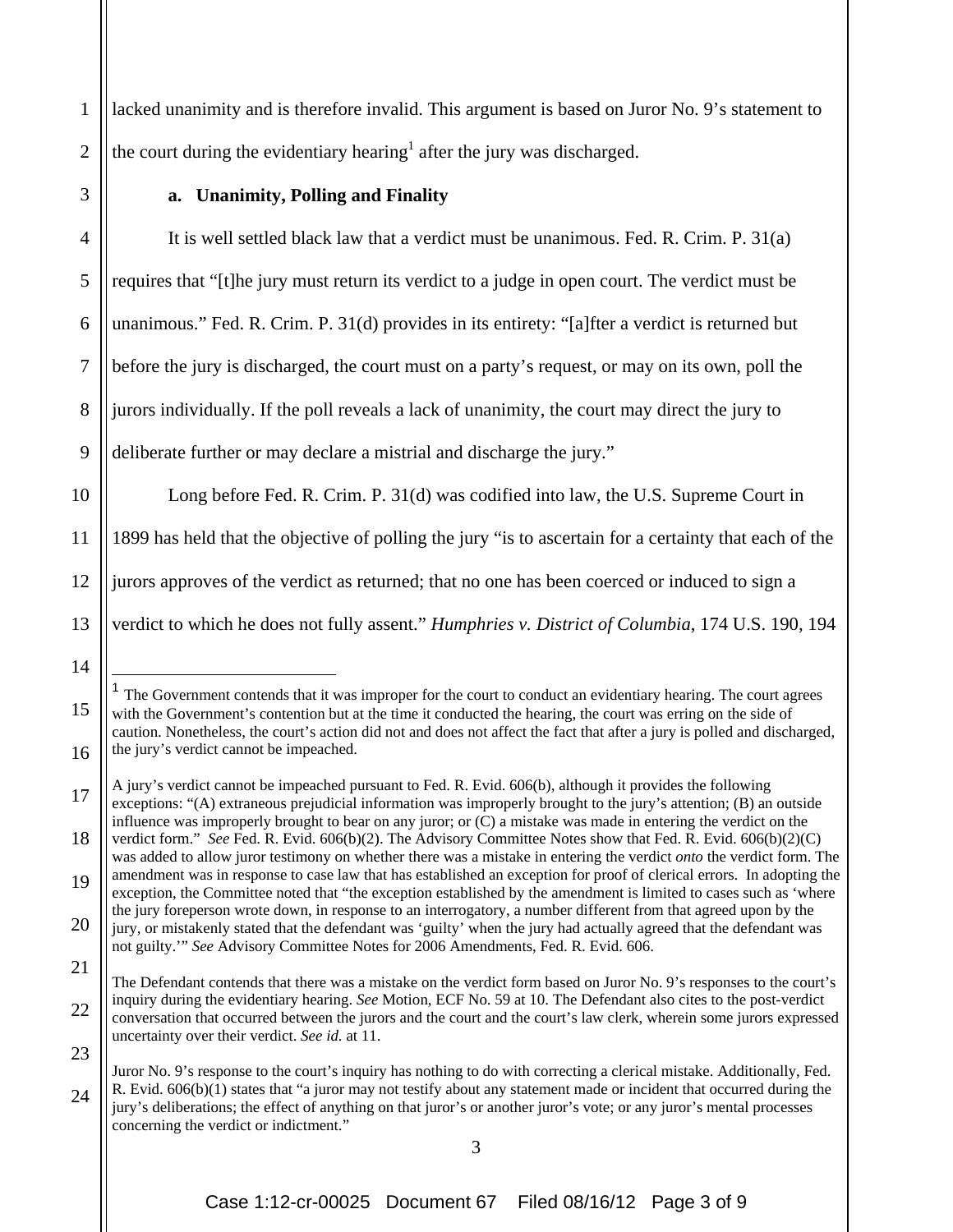lacked unanimity and is therefore invalid. This argument is based on Juror No. 9's statement to the court during the evidentiary hearing<sup>1</sup> after the jury was discharged.

3

14

 $\overline{a}$ 

15

16

1

2

## **a. Unanimity, Polling and Finality**

4 5 6 7 8 9 It is well settled black law that a verdict must be unanimous. Fed. R. Crim. P. 31(a) requires that "[t]he jury must return its verdict to a judge in open court. The verdict must be unanimous." Fed. R. Crim. P. 31(d) provides in its entirety: "[a]fter a verdict is returned but before the jury is discharged, the court must on a party's request, or may on its own, poll the jurors individually. If the poll reveals a lack of unanimity, the court may direct the jury to deliberate further or may declare a mistrial and discharge the jury."

10 11 12 13 Long before Fed. R. Crim. P. 31(d) was codified into law, the U.S. Supreme Court in 1899 has held that the objective of polling the jury "is to ascertain for a certainty that each of the jurors approves of the verdict as returned; that no one has been coerced or induced to sign a verdict to which he does not fully assent." *Humphries v. District of Columbia*, 174 U.S. 190, 194

<sup>1</sup> The Government contends that it was improper for the court to conduct an evidentiary hearing. The court agrees with the Government's contention but at the time it conducted the hearing, the court was erring on the side of caution. Nonetheless, the court's action did not and does not affect the fact that after a jury is polled and discharged, the jury's verdict cannot be impeached.

<sup>17</sup> A jury's verdict cannot be impeached pursuant to Fed. R. Evid. 606(b), although it provides the following exceptions: "(A) extraneous prejudicial information was improperly brought to the jury's attention; (B) an outside influence was improperly brought to bear on any juror; or (C) a mistake was made in entering the verdict on the

<sup>18</sup> verdict form." *See* Fed. R. Evid. 606(b)(2). The Advisory Committee Notes show that Fed. R. Evid. 606(b)(2)(C) was added to allow juror testimony on whether there was a mistake in entering the verdict *onto* the verdict form. The amendment was in response to case law that has established an exception for proof of clerical errors. In adopting the

<sup>19</sup> 20 exception, the Committee noted that "the exception established by the amendment is limited to cases such as 'where the jury foreperson wrote down, in response to an interrogatory, a number different from that agreed upon by the

<sup>21</sup> jury, or mistakenly stated that the defendant was 'guilty' when the jury had actually agreed that the defendant was not guilty.'" *See* Advisory Committee Notes for 2006 Amendments, Fed. R. Evid. 606.

<sup>22</sup> 23 The Defendant contends that there was a mistake on the verdict form based on Juror No. 9's responses to the court's inquiry during the evidentiary hearing. *See* Motion, ECF No. 59 at 10. The Defendant also cites to the post-verdict conversation that occurred between the jurors and the court and the court's law clerk, wherein some jurors expressed uncertainty over their verdict. *See id.* at 11.

<sup>24</sup> Juror No. 9's response to the court's inquiry has nothing to do with correcting a clerical mistake. Additionally, Fed. R. Evid. 606(b)(1) states that "a juror may not testify about any statement made or incident that occurred during the jury's deliberations; the effect of anything on that juror's or another juror's vote; or any juror's mental processes concerning the verdict or indictment."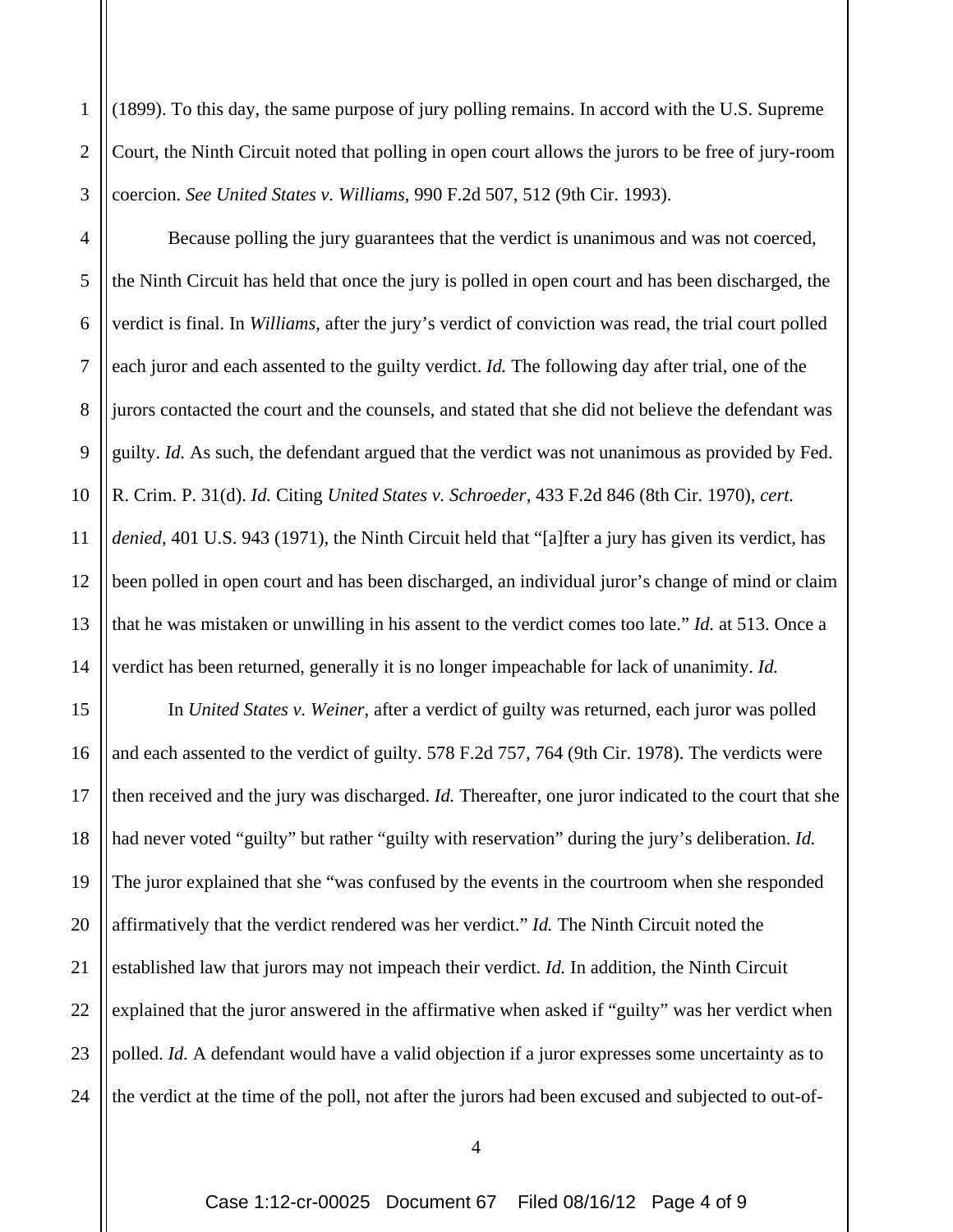(1899). To this day, the same purpose of jury polling remains. In accord with the U.S. Supreme Court, the Ninth Circuit noted that polling in open court allows the jurors to be free of jury-room coercion. *See United States v. Williams*, 990 F.2d 507, 512 (9th Cir. 1993).

1

2

3

4 5 6 7 8 9 10 11 12 13 14 Because polling the jury guarantees that the verdict is unanimous and was not coerced, the Ninth Circuit has held that once the jury is polled in open court and has been discharged, the verdict is final. In *Williams*, after the jury's verdict of conviction was read, the trial court polled each juror and each assented to the guilty verdict. *Id.* The following day after trial, one of the jurors contacted the court and the counsels, and stated that she did not believe the defendant was guilty. *Id.* As such, the defendant argued that the verdict was not unanimous as provided by Fed. R. Crim. P. 31(d). *Id.* Citing *United States v. Schroeder*, 433 F.2d 846 (8th Cir. 1970), *cert. denied*, 401 U.S. 943 (1971), the Ninth Circuit held that "[a]fter a jury has given its verdict, has been polled in open court and has been discharged, an individual juror's change of mind or claim that he was mistaken or unwilling in his assent to the verdict comes too late." *Id.* at 513. Once a verdict has been returned, generally it is no longer impeachable for lack of unanimity. *Id.*

15 16 17 18 19 20 21 22 23 24 In *United States v. Weiner*, after a verdict of guilty was returned, each juror was polled and each assented to the verdict of guilty. 578 F.2d 757, 764 (9th Cir. 1978). The verdicts were then received and the jury was discharged. *Id.* Thereafter, one juror indicated to the court that she had never voted "guilty" but rather "guilty with reservation" during the jury's deliberation. *Id.* The juror explained that she "was confused by the events in the courtroom when she responded affirmatively that the verdict rendered was her verdict." *Id.* The Ninth Circuit noted the established law that jurors may not impeach their verdict. *Id.* In addition, the Ninth Circuit explained that the juror answered in the affirmative when asked if "guilty" was her verdict when polled. *Id.* A defendant would have a valid objection if a juror expresses some uncertainty as to the verdict at the time of the poll, not after the jurors had been excused and subjected to out-of-

4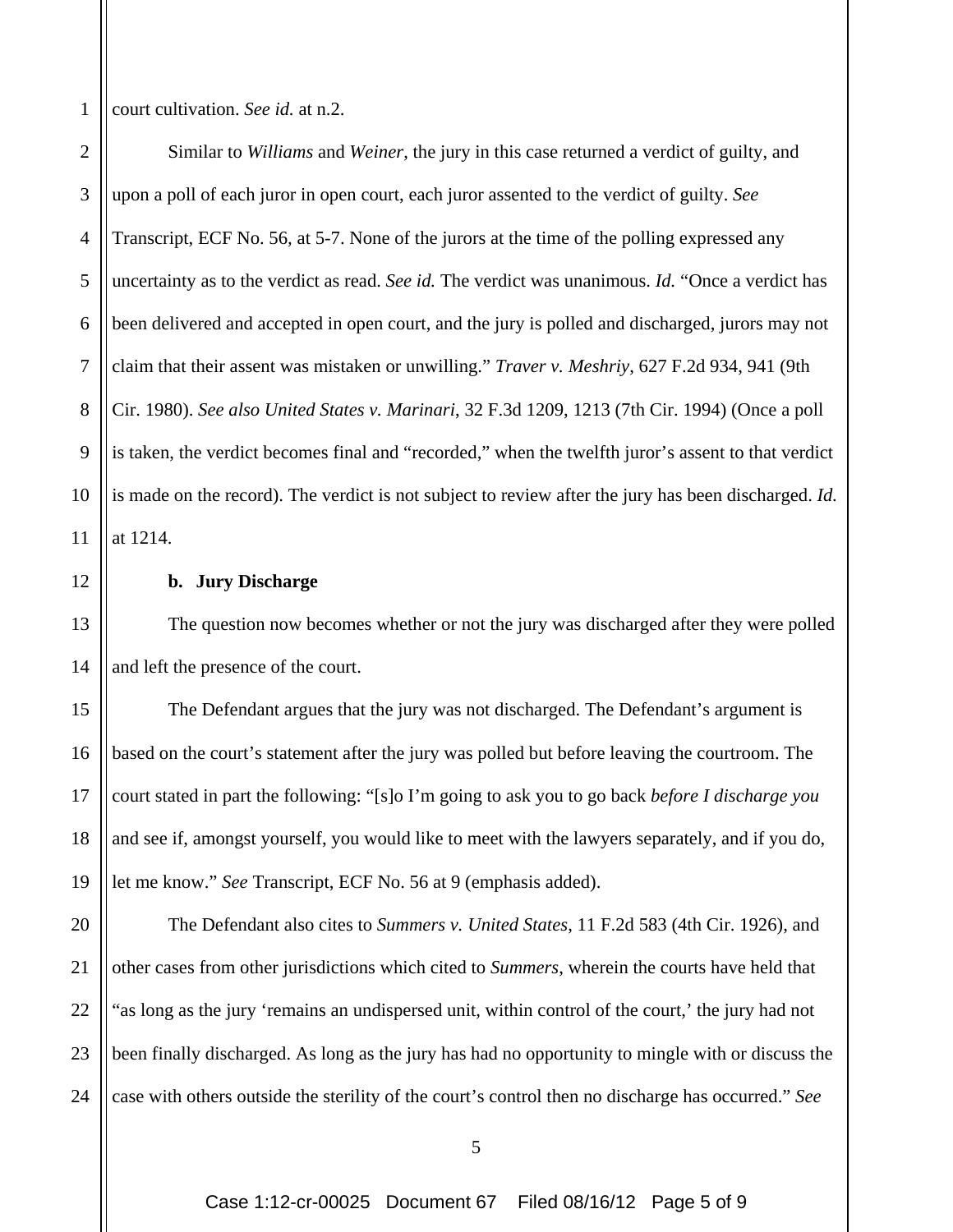1 court cultivation. *See id.* at n.2.

2 3 4 5 6 7 8 9 10 11 Similar to *Williams* and *Weiner*, the jury in this case returned a verdict of guilty, and upon a poll of each juror in open court, each juror assented to the verdict of guilty. *See*  Transcript, ECF No. 56*,* at 5-7. None of the jurors at the time of the polling expressed any uncertainty as to the verdict as read. *See id.* The verdict was unanimous. *Id.* "Once a verdict has been delivered and accepted in open court, and the jury is polled and discharged, jurors may not claim that their assent was mistaken or unwilling." *Traver v. Meshriy*, 627 F.2d 934, 941 (9th Cir. 1980). *See also United States v. Marinari*, 32 F.3d 1209, 1213 (7th Cir. 1994) (Once a poll is taken, the verdict becomes final and "recorded," when the twelfth juror's assent to that verdict is made on the record). The verdict is not subject to review after the jury has been discharged. *Id.* at 1214.

12

13

14

## **b. Jury Discharge**

The question now becomes whether or not the jury was discharged after they were polled and left the presence of the court.

15 16 17 18 19 The Defendant argues that the jury was not discharged. The Defendant's argument is based on the court's statement after the jury was polled but before leaving the courtroom. The court stated in part the following: "[s]o I'm going to ask you to go back *before I discharge you* and see if, amongst yourself, you would like to meet with the lawyers separately, and if you do, let me know." *See* Transcript, ECF No. 56 at 9 (emphasis added).

20 21 22 23 24 The Defendant also cites to *Summers v. United States*, 11 F.2d 583 (4th Cir. 1926), and other cases from other jurisdictions which cited to *Summers*, wherein the courts have held that "as long as the jury 'remains an undispersed unit, within control of the court,' the jury had not been finally discharged. As long as the jury has had no opportunity to mingle with or discuss the case with others outside the sterility of the court's control then no discharge has occurred." *See*

5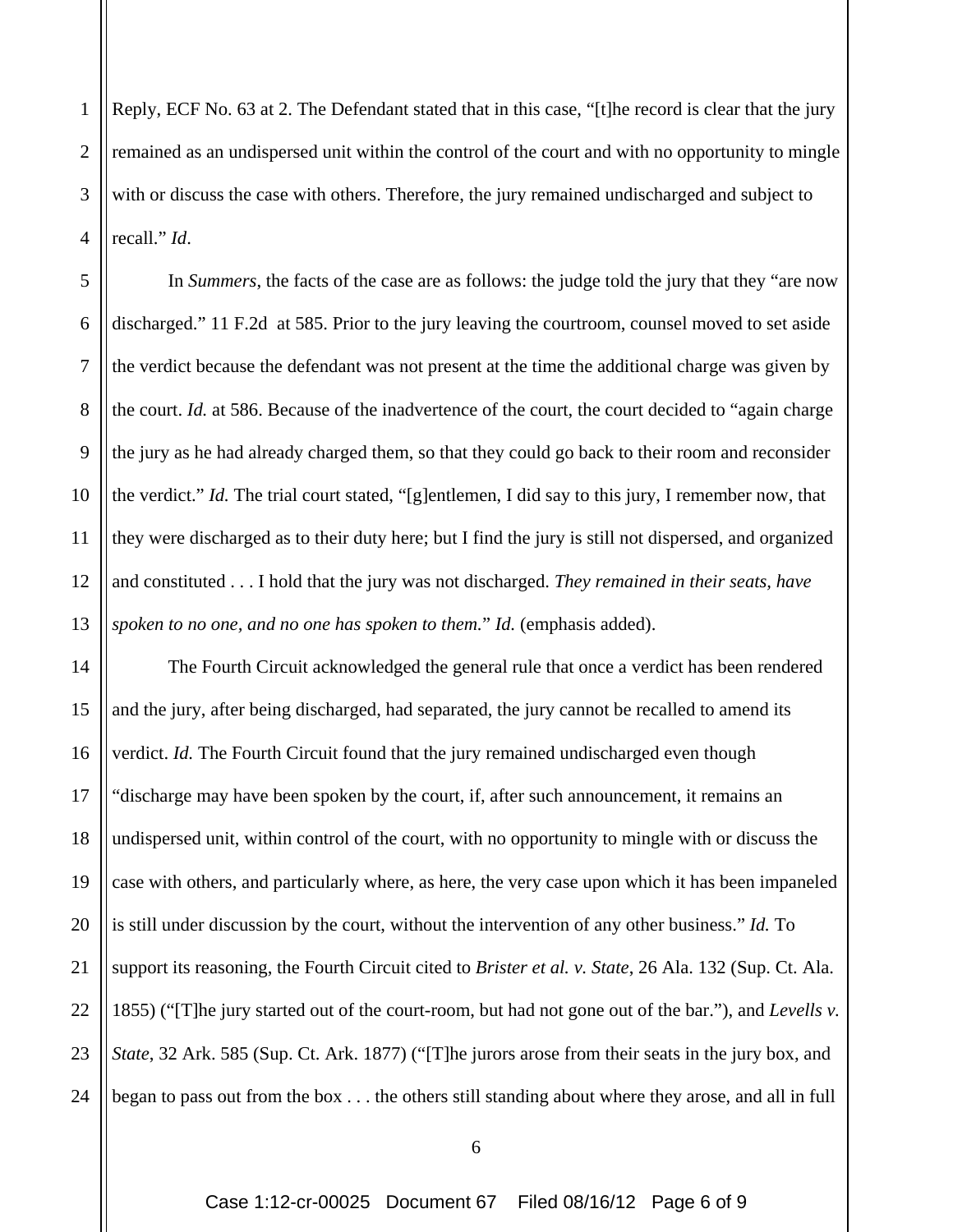1 2 3 4 Reply, ECF No. 63 at 2. The Defendant stated that in this case, "[t]he record is clear that the jury remained as an undispersed unit within the control of the court and with no opportunity to mingle with or discuss the case with others. Therefore, the jury remained undischarged and subject to recall." *Id*.

5 6 7 8 9 10 12 13 In *Summers*, the facts of the case are as follows: the judge told the jury that they "are now discharged." 11 F.2d at 585. Prior to the jury leaving the courtroom, counsel moved to set aside the verdict because the defendant was not present at the time the additional charge was given by the court. *Id.* at 586. Because of the inadvertence of the court, the court decided to "again charge the jury as he had already charged them, so that they could go back to their room and reconsider the verdict." *Id.* The trial court stated, "[g]entlemen, I did say to this jury, I remember now, that they were discharged as to their duty here; but I find the jury is still not dispersed, and organized and constituted . . . I hold that the jury was not discharged. *They remained in their seats, have spoken to no one, and no one has spoken to them.*" *Id.* (emphasis added).

11

14 15 16 17 18 19 20 21 22 23 24 The Fourth Circuit acknowledged the general rule that once a verdict has been rendered and the jury, after being discharged, had separated, the jury cannot be recalled to amend its verdict. *Id.* The Fourth Circuit found that the jury remained undischarged even though "discharge may have been spoken by the court, if, after such announcement, it remains an undispersed unit, within control of the court, with no opportunity to mingle with or discuss the case with others, and particularly where, as here, the very case upon which it has been impaneled is still under discussion by the court, without the intervention of any other business." *Id.* To support its reasoning, the Fourth Circuit cited to *Brister et al. v. State*, 26 Ala. 132 (Sup. Ct. Ala. 1855) ("[T]he jury started out of the court-room, but had not gone out of the bar."), and *Levells v. State*, 32 Ark. 585 (Sup. Ct. Ark. 1877) ("[T]he jurors arose from their seats in the jury box, and began to pass out from the box . . . the others still standing about where they arose, and all in full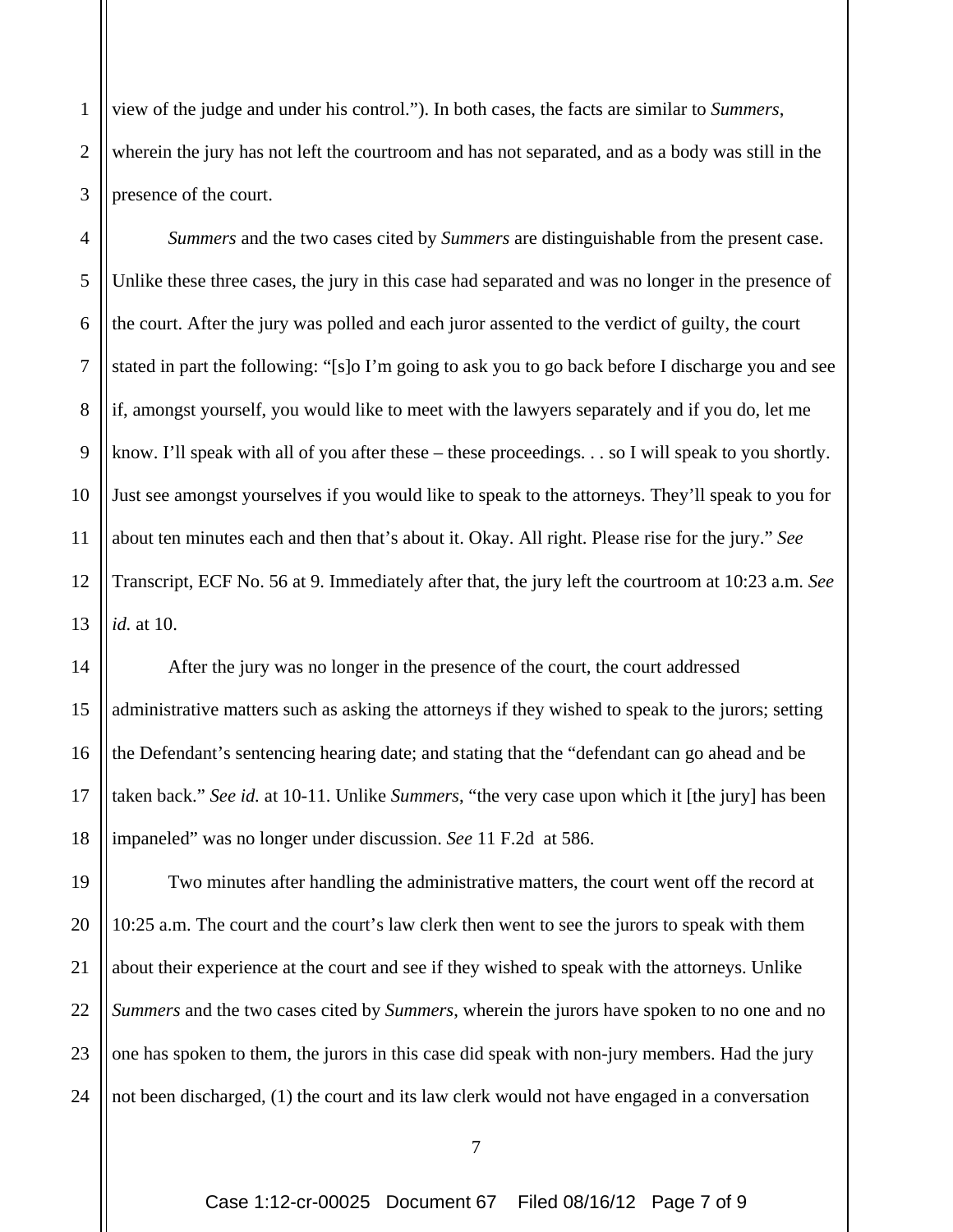1 2 3 view of the judge and under his control."). In both cases, the facts are similar to *Summers*, wherein the jury has not left the courtroom and has not separated, and as a body was still in the presence of the court.

4 5 6 7 8 9 10 11 12 13 *Summers* and the two cases cited by *Summers* are distinguishable from the present case. Unlike these three cases, the jury in this case had separated and was no longer in the presence of the court. After the jury was polled and each juror assented to the verdict of guilty, the court stated in part the following: "[s]o I'm going to ask you to go back before I discharge you and see if, amongst yourself, you would like to meet with the lawyers separately and if you do, let me know. I'll speak with all of you after these – these proceedings. . . so I will speak to you shortly. Just see amongst yourselves if you would like to speak to the attorneys. They'll speak to you for about ten minutes each and then that's about it. Okay. All right. Please rise for the jury." *See* Transcript, ECF No. 56 at 9. Immediately after that, the jury left the courtroom at 10:23 a.m. *See id.* at 10.

14 15 16 17 18 After the jury was no longer in the presence of the court, the court addressed administrative matters such as asking the attorneys if they wished to speak to the jurors; setting the Defendant's sentencing hearing date; and stating that the "defendant can go ahead and be taken back." *See id.* at 10-11. Unlike *Summers*, "the very case upon which it [the jury] has been impaneled" was no longer under discussion. *See* 11 F.2d at 586.

19 20 21 22 23 24 Two minutes after handling the administrative matters, the court went off the record at 10:25 a.m. The court and the court's law clerk then went to see the jurors to speak with them about their experience at the court and see if they wished to speak with the attorneys. Unlike *Summers* and the two cases cited by *Summers*, wherein the jurors have spoken to no one and no one has spoken to them, the jurors in this case did speak with non-jury members. Had the jury not been discharged, (1) the court and its law clerk would not have engaged in a conversation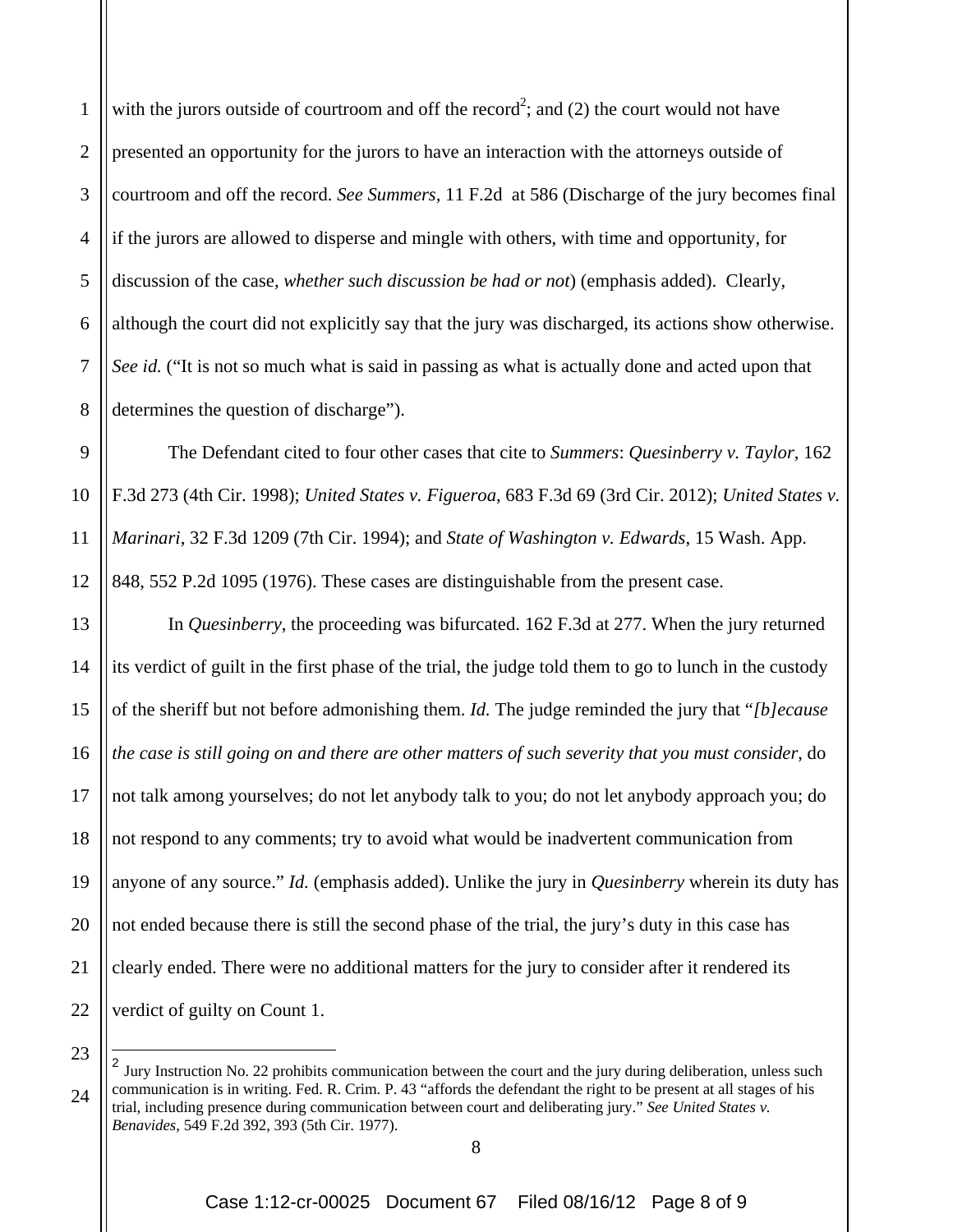1 2 3 4 5 6 7 8 with the jurors outside of courtroom and off the record<sup>2</sup>; and (2) the court would not have presented an opportunity for the jurors to have an interaction with the attorneys outside of courtroom and off the record. *See Summers,* 11 F.2d at 586 (Discharge of the jury becomes final if the jurors are allowed to disperse and mingle with others, with time and opportunity, for discussion of the case, *whether such discussion be had or not*) (emphasis added). Clearly, although the court did not explicitly say that the jury was discharged, its actions show otherwise. *See id.* ("It is not so much what is said in passing as what is actually done and acted upon that determines the question of discharge").

9 10 11 12 The Defendant cited to four other cases that cite to *Summers*: *Quesinberry v. Taylor*, 162 F.3d 273 (4th Cir. 1998); *United States v. Figueroa*, 683 F.3d 69 (3rd Cir. 2012); *United States v. Marinari*, 32 F.3d 1209 (7th Cir. 1994); and *State of Washington v. Edwards*, 15 Wash. App. 848, 552 P.2d 1095 (1976). These cases are distinguishable from the present case.

13 14 15 16 17 18 19 20 21 22 In *Quesinberry*, the proceeding was bifurcated. 162 F.3d at 277. When the jury returned its verdict of guilt in the first phase of the trial, the judge told them to go to lunch in the custody of the sheriff but not before admonishing them. *Id.* The judge reminded the jury that "*[b]ecause the case is still going on and there are other matters of such severity that you must consider*, do not talk among yourselves; do not let anybody talk to you; do not let anybody approach you; do not respond to any comments; try to avoid what would be inadvertent communication from anyone of any source." *Id.* (emphasis added). Unlike the jury in *Quesinberry* wherein its duty has not ended because there is still the second phase of the trial, the jury's duty in this case has clearly ended. There were no additional matters for the jury to consider after it rendered its verdict of guilty on Count 1.

23

 $\overline{a}$ 

<sup>24</sup> <sup>2</sup> Jury Instruction No. 22 prohibits communication between the court and the jury during deliberation, unless such communication is in writing. Fed. R. Crim. P. 43 "affords the defendant the right to be present at all stages of his trial, including presence during communication between court and deliberating jury." *See United States v. Benavides*, 549 F.2d 392, 393 (5th Cir. 1977).